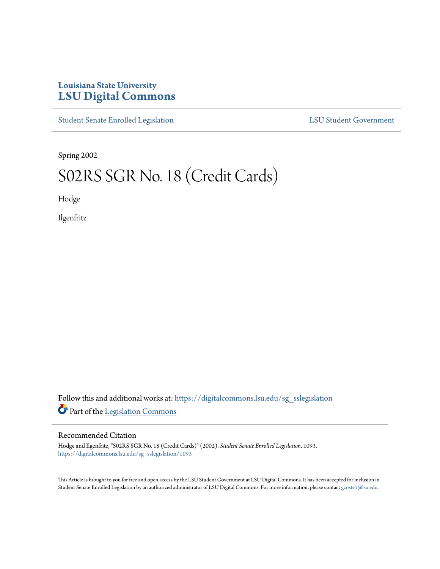# **Louisiana State University [LSU Digital Commons](https://digitalcommons.lsu.edu?utm_source=digitalcommons.lsu.edu%2Fsg_sslegislation%2F1093&utm_medium=PDF&utm_campaign=PDFCoverPages)**

[Student Senate Enrolled Legislation](https://digitalcommons.lsu.edu/sg_sslegislation?utm_source=digitalcommons.lsu.edu%2Fsg_sslegislation%2F1093&utm_medium=PDF&utm_campaign=PDFCoverPages) [LSU Student Government](https://digitalcommons.lsu.edu/sg?utm_source=digitalcommons.lsu.edu%2Fsg_sslegislation%2F1093&utm_medium=PDF&utm_campaign=PDFCoverPages)

Spring 2002

# S02RS SGR No. 18 (Credit Cards)

Hodge

Ilgenfritz

Follow this and additional works at: [https://digitalcommons.lsu.edu/sg\\_sslegislation](https://digitalcommons.lsu.edu/sg_sslegislation?utm_source=digitalcommons.lsu.edu%2Fsg_sslegislation%2F1093&utm_medium=PDF&utm_campaign=PDFCoverPages) Part of the [Legislation Commons](http://network.bepress.com/hgg/discipline/859?utm_source=digitalcommons.lsu.edu%2Fsg_sslegislation%2F1093&utm_medium=PDF&utm_campaign=PDFCoverPages)

### Recommended Citation

Hodge and Ilgenfritz, "S02RS SGR No. 18 (Credit Cards)" (2002). *Student Senate Enrolled Legislation*. 1093. [https://digitalcommons.lsu.edu/sg\\_sslegislation/1093](https://digitalcommons.lsu.edu/sg_sslegislation/1093?utm_source=digitalcommons.lsu.edu%2Fsg_sslegislation%2F1093&utm_medium=PDF&utm_campaign=PDFCoverPages)

This Article is brought to you for free and open access by the LSU Student Government at LSU Digital Commons. It has been accepted for inclusion in Student Senate Enrolled Legislation by an authorized administrator of LSU Digital Commons. For more information, please contact [gcoste1@lsu.edu.](mailto:gcoste1@lsu.edu)